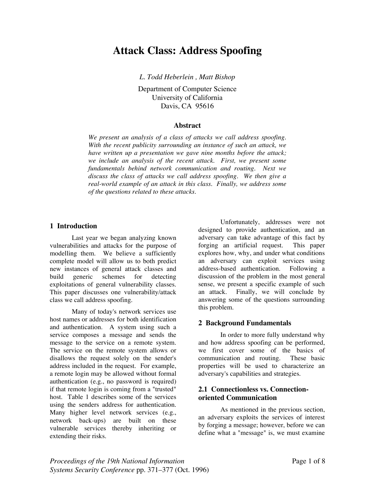# **Attack Class: Address Spoofing**

*L. Todd Heberlein , Matt Bishop*

Department of Computer Science University of California Davis, CA 95616

#### **Abstract**

*We present an analysis of a class of attacks we call address spoofing. With the recent publicity surrounding an instance of such an attack, we have written up a presentation we gave nine months before the attack; we include an analysis of the recent attack. First, we present some fundamentals behind network communication and routing. Next we discuss the class of attacks we call address spoofing. We then give a real-world example of an attack in this class. Finally, we address some of the questions related to these attacks.*

#### **1 Introduction**

Last year we began analyzing known vulnerabilities and attacks for the purpose of modelling them. We believe a sufficiently complete model will allow us to both predict new instances of general attack classes and build generic schemes for detecting exploitations of general vulnerability classes. This paper discusses one vulnerability/attack class we call address spoofing.

Many of today's network services use host names or addresses for both identification and authentication. A system using such a service composes a message and sends the message to the service on a remote system. The service on the remote system allows or disallows the request solely on the sender's address included in the request. For example, a remote login may be allowed without formal authentication (e.g., no password is required) if that remote login is coming from a "trusted" host. Table 1 describes some of the services using the senders address for authentication. Many higher level network services (e.g., network back-ups) are built on these vulnerable services thereby inheriting or extending their risks.

Unfortunately, addresses were not designed to provide authentication, and an adversary can take advantage of this fact by forging an artificial request. This paper explores how, why, and under what conditions an adversary can exploit services using address-based authentication. Following a discussion of the problem in the most general sense, we present a specific example of such an attack. Finally, we will conclude by answering some of the questions surrounding this problem.

#### **2 Background Fundamentals**

In order to more fully understand why and how address spoofing can be performed, we first cover some of the basics of communication and routing. These basic properties will be used to characterize an adversary's capabilities and strategies.

## **2.1 Connectionless vs. Connectionoriented Communication**

As mentioned in the previous section, an adversary exploits the services of interest by forging a message; however, before we can define what a "message" is, we must examine

*Proceedings of the 19th National Information* example 2 and 2 and 2 and 2 and 2 and 2 and 2 and 2 and 2 and 2 and 2 and 2 and 2 and 2 and 2 and 2 and 2 and 2 and 2 and 2 and 2 and 2 and 2 and 2 and 2 and 2 and 2 and 2 and *Systems Security Conference* pp. 371–377 (Oct. 1996)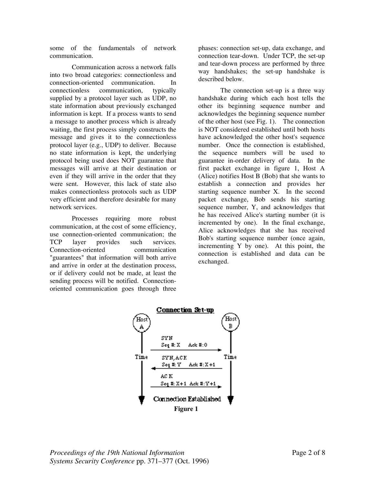some of the fundamentals of network communication.

Communication across a network falls into two broad categories: connectionless and connection-oriented communication. In connectionless communication, typically supplied by a protocol layer such as UDP, no state information about previously exchanged information is kept. If a process wants to send a message to another process which is already waiting, the first process simply constructs the message and gives it to the connectionless protocol layer (e.g., UDP) to deliver. Because no state information is kept, the underlying protocol being used does NOT guarantee that messages will arrive at their destination or even if they will arrive in the order that they were sent. However, this lack of state also makes connectionless protocols such as UDP very efficient and therefore desirable for many network services.

Processes requiring more robust communication, at the cost of some efficiency, use connection-oriented communication; the TCP layer provides such services. Connection-oriented communication "guarantees" that information will both arrive and arrive in order at the destination process, or if delivery could not be made, at least the sending process will be notified. Connectionoriented communication goes through three phases: connection set-up, data exchange, and connection tear-down. Under TCP, the set-up and tear-down process are performed by three way handshakes; the set-up handshake is described below.

The connection set-up is a three way handshake during which each host tells the other its beginning sequence number and acknowledges the beginning sequence number of the other host (see Fig. 1). The connection is NOT considered established until both hosts have acknowledged the other host's sequence number. Once the connection is established, the sequence numbers will be used to guarantee in-order delivery of data. In the first packet exchange in figure 1, Host A (Alice) notifies Host B (Bob) that she wants to establish a connection and provides her starting sequence number X. In the second packet exchange, Bob sends his starting sequence number, Y, and acknowledges that he has received Alice's starting number (it is incremented by one). In the final exchange, Alice acknowledges that she has received Bob's starting sequence number (once again, incrementing Y by one). At this point, the connection is established and data can be exchanged.

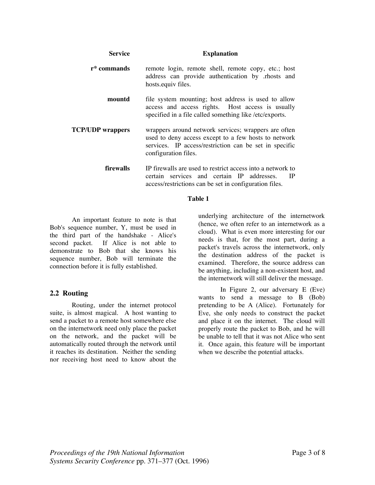| <b>Service</b>          | <b>Explanation</b>                                                                                                                                                                             |
|-------------------------|------------------------------------------------------------------------------------------------------------------------------------------------------------------------------------------------|
| r* commands             | remote login, remote shell, remote copy, etc.; host<br>address can provide authentication by .rhosts and<br>hosts.equiv files.                                                                 |
| mountd                  | file system mounting; host address is used to allow<br>access and access rights. Host access is usually<br>specified in a file called something like /etc/exports.                             |
| <b>TCP/UDP</b> wrappers | wrappers around network services; wrappers are often<br>used to deny access except to a few hosts to network<br>services. IP access/restriction can be set in specific<br>configuration files. |
| <b>firewalls</b>        | IP firewalls are used to restrict access into a network to<br>certain services and certain IP addresses.<br>IP<br>access/restrictions can be set in configuration files.                       |

#### **Table 1**

An important feature to note is that Bob's sequence number, Y, must be used in the third part of the handshake - Alice's second packet. If Alice is not able to demonstrate to Bob that she knows his sequence number, Bob will terminate the connection before it is fully established.

# **2.2 Routing**

Routing, under the internet protocol suite, is almost magical. A host wanting to send a packet to a remote host somewhere else on the internetwork need only place the packet on the network, and the packet will be automatically routed through the network until it reaches its destination. Neither the sending nor receiving host need to know about the underlying architecture of the internetwork (hence, we often refer to an internetwork as a cloud). What is even more interesting for our needs is that, for the most part, during a packet's travels across the internetwork, only the destination address of the packet is examined. Therefore, the source address can be anything, including a non-existent host, and the internetwork will still deliver the message.

In Figure 2, our adversary E (Eve) wants to send a message to B (Bob) pretending to be A (Alice). Fortunately for Eve, she only needs to construct the packet and place it on the internet. The cloud will properly route the packet to Bob, and he will be unable to tell that it was not Alice who sent it. Once again, this feature will be important when we describe the potential attacks.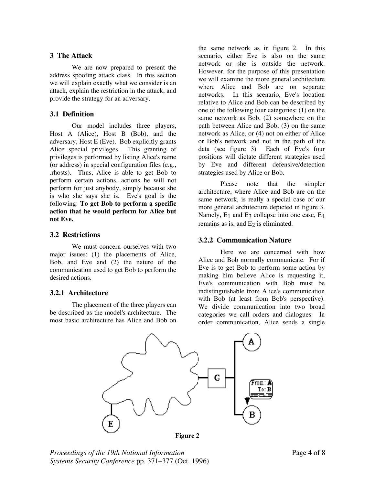## **3 The Attack**

We are now prepared to present the address spoofing attack class. In this section we will explain exactly what we consider is an attack, explain the restriction in the attack, and provide the strategy for an adversary.

## **3.1 Definition**

Our model includes three players, Host A (Alice), Host B (Bob), and the adversary, Host E (Eve). Bob explicitly grants Alice special privileges. This granting of privileges is performed by listing Alice's name (or address) in special configuration files (e.g., .rhosts). Thus, Alice is able to get Bob to perform certain actions, actions he will not perform for just anybody, simply because she is who she says she is. Eve's goal is the following: **To get Bob to perform a specific action that he would perform for Alice but not Eve.**

## **3.2 Restrictions**

We must concern ourselves with two major issues: (1) the placements of Alice, Bob, and Eve and (2) the nature of the communication used to get Bob to perform the desired actions.

## **3.2.1 Architecture**

The placement of the three players can be described as the model's architecture. The most basic architecture has Alice and Bob on the same network as in figure 2. In this scenario, either Eve is also on the same network or she is outside the network. However, for the purpose of this presentation we will examine the more general architecture where Alice and Bob are on separate networks. In this scenario, Eve's location relative to Alice and Bob can be described by one of the following four categories: (1) on the same network as Bob, (2) somewhere on the path between Alice and Bob, (3) on the same network as Alice, or (4) not on either of Alice or Bob's network and not in the path of the data (see figure 3) Each of Eve's four positions will dictate different strategies used by Eve and different defensive/detection strategies used by Alice or Bob.

Please note that the simpler architecture, where Alice and Bob are on the same network, is really a special case of our more general architecture depicted in figure 3. Namely,  $E_1$  and  $E_3$  collapse into one case,  $E_4$ remains as is, and  $E_2$  is eliminated.

# **3.2.2 Communication Nature**

Here we are concerned with how Alice and Bob normally communicate. For if Eve is to get Bob to perform some action by making him believe Alice is requesting it, Eve's communication with Bob must be indistinguishable from Alice's communication with Bob (at least from Bob's perspective). We divide communication into two broad categories we call orders and dialogues. In order communication, Alice sends a single



**Figure 2**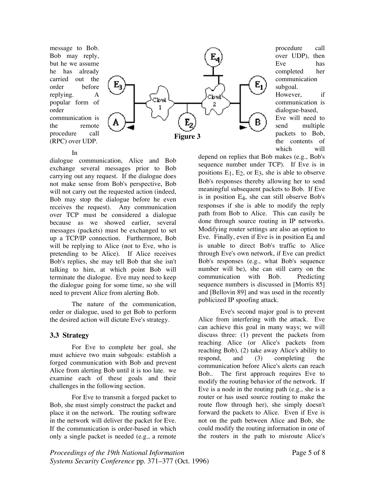message to Bob. Bob may reply, but he we assume he has already carried out the order before replying. A popular form of order communication is the remote procedure call (RPC) over UDP.



procedure call over UDP), then Eve has completed her communication subgoal. However, if communication is dialogue-based, Eve will need to send multiple packets to Bob, the contents of which will

#### In

dialogue communication, Alice and Bob exchange several messages prior to Bob carrying out any request. If the dialogue does not make sense from Bob's perspective, Bob will not carry out the requested action (indeed, Bob may stop the dialogue before he even receives the request). Any communication over TCP must be considered a dialogue because as we showed earlier, several messages (packets) must be exchanged to set up a TCP/IP connection. Furthermore, Bob will be replying to Alice (not to Eve, who is pretending to be Alice). If Alice receives Bob's replies, she may tell Bob that she isn't talking to him, at which point Bob will terminate the dialogue. Eve may need to keep the dialogue going for some time, so she will need to prevent Alice from alerting Bob.

The nature of the communication, order or dialogue, used to get Bob to perform the desired action will dictate Eve's strategy.

## **3.3 Strategy**

For Eve to complete her goal, she must achieve two main subgoals: establish a forged communication with Bob and prevent Alice from alerting Bob until it is too late. we examine each of these goals and their challenges in the following section.

For Eve to transmit a forged packet to Bob, she must simply construct the packet and place it on the network. The routing software in the network will deliver the packet for Eve. If the communication is order-based in which only a single packet is needed (e.g., a remote depend on replies that Bob makes (e.g., Bob's sequence number under TCP). If Eve is in positions  $E_1$ ,  $E_2$ , or  $E_3$ , she is able to observe Bob's responses thereby allowing her to send meaningful subsequent packets to Bob. If Eve is in position E4, she can still observe Bob's responses if she is able to modify the reply path from Bob to Alice. This can easily be done through source routing in IP networks. Modifying router settings are also an option to Eve. Finally, even if Eve is in position E4 and is unable to direct Bob's traffic to Alice through Eve's own network, if Eve can predict Bob's responses (e.g., what Bob's sequence number will be), she can still carry on the communication with Bob. Predicting sequence numbers is discussed in [Morris 85] and [Bellovin 89] and was used in the recently publicized IP spoofing attack.

Eve's second major goal is to prevent Alice from interfering with the attack. Eve can achieve this goal in many ways; we will discuss three: (1) prevent the packets from reaching Alice (or Alice's packets from reaching Bob), (2) take away Alice's ability to respond, and (3) completing the communication before Alice's alerts can reach Bob.. The first approach requires Eve to modify the routing behavior of the network. If Eve is a node in the routing path (e.g., she is a router or has used source routing to make the route flow through her), she simply doesn't forward the packets to Alice. Even if Eve is not on the path between Alice and Bob, she could modify the routing information in one of the routers in the path to misroute Alice's

*Proceedings of the 19th National Information* Page 5 of 8 *Systems Security Conference* pp. 371–377 (Oct. 1996)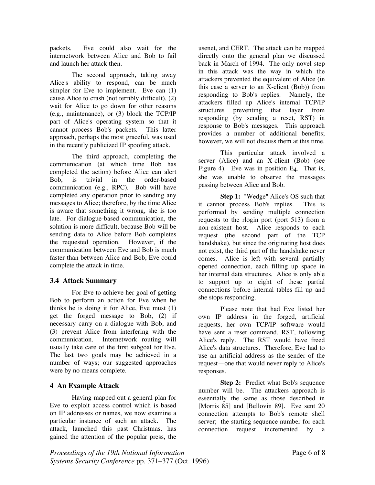packets. Eve could also wait for the internetwork between Alice and Bob to fail and launch her attack then.

The second approach, taking away Alice's ability to respond, can be much simpler for Eve to implement. Eve can  $(1)$ cause Alice to crash (not terribly difficult), (2) wait for Alice to go down for other reasons (e.g., maintenance), or (3) block the TCP/IP part of Alice's operating system so that it cannot process Bob's packets. This latter approach, perhaps the most graceful, was used in the recently publicized IP spoofing attack.

The third approach, completing the communication (at which time Bob has completed the action) before Alice can alert Bob, is trivial in the order-based communication (e.g., RPC). Bob will have completed any operation prior to sending any messages to Alice; therefore, by the time Alice is aware that something it wrong, she is too late. For dialogue-based communication, the solution is more difficult, because Bob will be sending data to Alice before Bob completes the requested operation. However, if the communication between Eve and Bob is much faster than between Alice and Bob, Eve could complete the attack in time.

## **3.4 Attack Summary**

For Eve to achieve her goal of getting Bob to perform an action for Eve when he thinks he is doing it for Alice, Eve must (1) get the forged message to Bob, (2) if necessary carry on a dialogue with Bob, and (3) prevent Alice from interfering with the communication. Internetwork routing will usually take care of the first subgoal for Eve. The last two goals may be achieved in a number of ways; our suggested approaches were by no means complete.

# **4 An Example Attack**

Having mapped out a general plan for Eve to exploit access control which is based on IP addresses or names, we now examine a particular instance of such an attack. The attack, launched this past Christmas, has gained the attention of the popular press, the usenet, and CERT. The attack can be mapped directly onto the general plan we discussed back in March of 1994. The only novel step in this attack was the way in which the attackers prevented the equivalent of Alice (in this case a server to an X-client (Bob)) from responding to Bob's replies. Namely, the attackers filled up Alice's internal TCP/IP structures preventing that layer from responding (by sending a reset, RST) in response to Bob's messages. This approach provides a number of additional benefits; however, we will not discuss them at this time.

This particular attack involved a server (Alice) and an X-client (Bob) (see Figure 4). Eve was in position  $E_4$ . That is, she was unable to observe the messages passing between Alice and Bob.

**Step 1:** "Wedge" Alice's OS such that it cannot process Bob's replies. This is performed by sending multiple connection requests to the rlogin port (port 513) from a non-existent host. Alice responds to each request (the second part of the TCP handshake), but since the originating host does not exist, the third part of the handshake never comes. Alice is left with several partially opened connection, each filling up space in her internal data structures. Alice is only able to support up to eight of these partial connections before internal tables fill up and she stops responding.

Please note that had Eve listed her own IP address in the forged, artificial requests, her own TCP/IP software would have sent a reset command, RST, following Alice's reply. The RST would have freed Alice's data structures. Therefore, Eve had to use an artificial address as the sender of the request—one that would never reply to Alice's responses.

**Step 2:** Predict what Bob's sequence number will be. The attackers approach is essentially the same as those described in [Morris 85] and [Bellovin 89]. Eve sent 20 connection attempts to Bob's remote shell server; the starting sequence number for each connection request incremented by a

*Proceedings of the 19th National Information* Page 6 of 8 *Systems Security Conference* pp. 371–377 (Oct. 1996)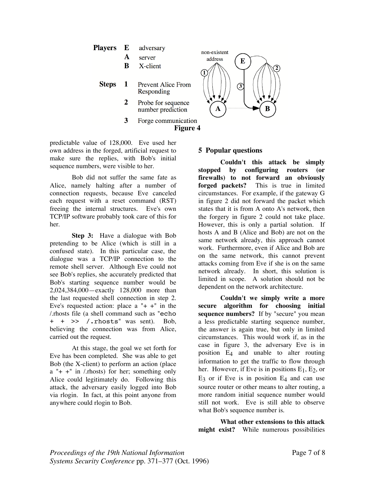

predictable value of 128,000. Eve used her own address in the forged, artificial request to make sure the replies, with Bob's initial sequence numbers, were visible to her.

Bob did not suffer the same fate as Alice, namely halting after a number of connection requests, because Eve canceled each request with a reset command (RST) freeing the internal structures. Eve's own TCP/IP software probably took care of this for her.

**Step 3:** Have a dialogue with Bob pretending to be Alice (which is still in a confused state). In this particular case, the dialogue was a TCP/IP connection to the remote shell server. Although Eve could not see Bob's replies, she accurately predicted that Bob's starting sequence number would be 2,024,384,000—exactly 128,000 more than the last requested shell connection in step 2. Eve's requested action: place a " $+$  +" in the /.rhosts file (a shell command such as "echo + + >> /.rhosts" was sent). Bob, believing the connection was from Alice, carried out the request.

At this stage, the goal we set forth for Eve has been completed. She was able to get Bob (the X-client) to perform an action (place  $a'' + +''$  in /.rhosts) for her; something only Alice could legitimately do. Following this attack, the adversary easily logged into Bob via rlogin. In fact, at this point anyone from anywhere could rlogin to Bob.

## **5 Popular questions**

**Couldn't this attack be simply stopped by configuring routers (or firewalls) to not forward an obviously forged packets?** This is true in limited circumstances. For example, if the gateway G in figure 2 did not forward the packet which states that it is from A onto A's network, then the forgery in figure 2 could not take place. However, this is only a partial solution. If hosts A and B (Alice and Bob) are not on the same network already, this approach cannot work. Furthermore, even if Alice and Bob are on the same network, this cannot prevent attacks coming from Eve if she is on the same network already. In short, this solution is limited in scope. A solution should not be dependent on the network architecture.

**Couldn't we simply write a more secure algorithm for choosing initial sequence numbers?** If by "secure" you mean a less predictable starting sequence number, the answer is again true, but only in limited circumstances. This would work if, as in the case in figure 3, the adversary Eve is in position E4 and unable to alter routing information to get the traffic to flow through her. However, if Eve is in positions  $E_1$ ,  $E_2$ , or  $E_3$  or if Eve is in position  $E_4$  and can use source router or other means to alter routing, a more random initial sequence number would still not work. Eve is still able to observe what Bob's sequence number is.

**What other extensions to this attack might exist?** While numerous possibilities